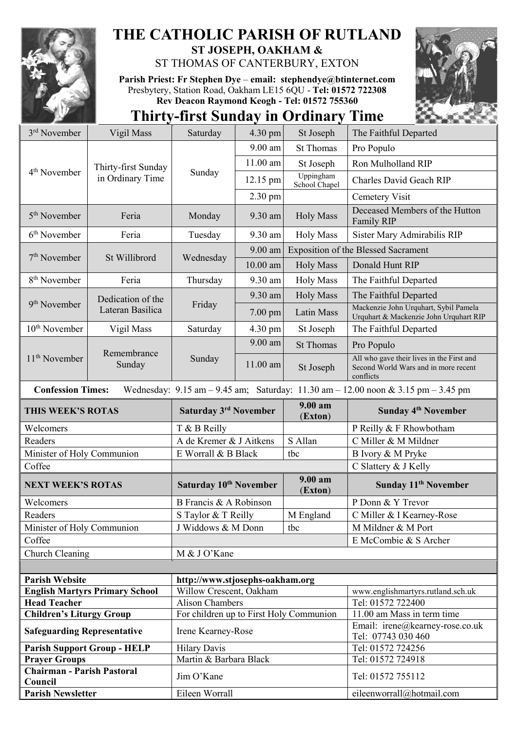

## **THE CATHOLIC PARISH OF RUTLAND**

**ST JOSEPH, OAKHAM &**  ST THOMAS OF CANTERBURY, EXTON

**Parish Priest: Fr Stephen Dye** – **[email: stephendye@btinternet.com](mailto:email:%20%20stephendye@btinternet.com)** Presbytery, Station Road, Oakham LE15 6QU - **Tel: 01572 722308 Rev Deacon Raymond Keogh - Tel: 01572 755360**



## **Thirty-first Sunday in Ordinary Time**

| 3 <sup>rd</sup> November                     | Vigil Mass                              | Saturday                                | 4.30 pm           | St Joseph                  | The Faithful Departed                                                                                                                   |  |
|----------------------------------------------|-----------------------------------------|-----------------------------------------|-------------------|----------------------------|-----------------------------------------------------------------------------------------------------------------------------------------|--|
|                                              | Thirty-first Sunday<br>in Ordinary Time | Sunday                                  | 9.00 am           | <b>St Thomas</b>           | Pro Populo                                                                                                                              |  |
| 4 <sup>th</sup> November                     |                                         |                                         | $11.00$ am        | St Joseph                  | Ron Mulholland RIP                                                                                                                      |  |
|                                              |                                         |                                         | 12.15 pm          | Uppingham<br>School Chapel | Charles David Geach RIP                                                                                                                 |  |
|                                              |                                         |                                         | 2.30 pm           |                            | Cemetery Visit                                                                                                                          |  |
| 5 <sup>th</sup> November                     | Feria                                   | Monday                                  | 9.30 am           | <b>Holy Mass</b>           | Deceased Members of the Hutton<br>Family RIP                                                                                            |  |
| $6th$ November                               | Feria                                   | Tuesday                                 | 9.30 am           | <b>Holy Mass</b>           | Sister Mary Admirabilis RIP                                                                                                             |  |
| 7 <sup>th</sup> November                     | St Willibrord                           | Wednesday                               | 9.00 am           |                            | <b>Exposition of the Blessed Sacrament</b>                                                                                              |  |
|                                              |                                         |                                         | $10.00$ am        | <b>Holy Mass</b>           | Donald Hunt RIP                                                                                                                         |  |
| 8 <sup>th</sup> November                     | Feria                                   | Thursday                                | 9.30 am           | <b>Holy Mass</b>           | The Faithful Departed                                                                                                                   |  |
|                                              | Dedication of the                       |                                         | 9.30 am           | <b>Holy Mass</b>           | The Faithful Departed                                                                                                                   |  |
| 9 <sup>th</sup> November                     | Lateran Basilica                        | Friday                                  | $7.00 \text{ pm}$ | Latin Mass                 | Mackenzie John Urquhart, Sybil Pamela<br>Urquhart & Mackenzie John Urquhart RIP                                                         |  |
| $10th$ November                              | Vigil Mass                              | Saturday                                | 4.30 pm           | St Joseph                  | The Faithful Departed                                                                                                                   |  |
|                                              | Remembrance<br>Sunday                   | Sunday                                  | 9.00 am           | <b>St Thomas</b>           | Pro Populo                                                                                                                              |  |
| 11 <sup>th</sup> November                    |                                         |                                         | 11.00 am          | St Joseph                  | All who gave their lives in the First and<br>Second World Wars and in more recent<br>conflicts                                          |  |
| <b>Confession Times:</b>                     |                                         |                                         |                   |                            | Wednesday: $9.15 \text{ am} - 9.45 \text{ am}$ ; Saturday: $11.30 \text{ am} - 12.00 \text{ noon} \& 3.15 \text{ pm} - 3.45 \text{ pm}$ |  |
| THIS WEEK'S ROTAS                            |                                         | Saturday 3 <sup>rd</sup> November       |                   | $9.00 a$ m<br>(Exton)      | Sunday 4 <sup>th</sup> November                                                                                                         |  |
| Welcomers                                    |                                         | T & B Reilly                            |                   |                            | P Reilly & F Rhowbotham                                                                                                                 |  |
| Readers                                      |                                         | A de Kremer & J Aitkens                 |                   | S Allan                    | C Miller & M Mildner                                                                                                                    |  |
| Minister of Holy Communion                   |                                         | E Worrall & B Black                     |                   | tbc                        | B Ivory & M Pryke                                                                                                                       |  |
| Coffee                                       |                                         |                                         |                   |                            | C Slattery & J Kelly                                                                                                                    |  |
| <b>NEXT WEEK'S ROTAS</b>                     |                                         | Saturday 10 <sup>th</sup> November      |                   | 9.00 am<br>(Exton)         | Sunday 11 <sup>th</sup> November                                                                                                        |  |
| Welcomers                                    |                                         | B Francis & A Robinson                  |                   |                            | P Donn & Y Trevor                                                                                                                       |  |
| Readers                                      |                                         | S Taylor & T Reilly                     |                   | M England                  | C Miller & I Kearney-Rose                                                                                                               |  |
| Minister of Holy Communion                   |                                         | J Widdows & M Donn                      |                   | tbc                        | M Mildner & M Port                                                                                                                      |  |
| Coffee                                       |                                         |                                         |                   |                            | E McCombie & S Archer                                                                                                                   |  |
| Church Cleaning                              |                                         | M & J O'Kane                            |                   |                            |                                                                                                                                         |  |
|                                              |                                         |                                         |                   |                            |                                                                                                                                         |  |
| <b>Parish Website</b>                        |                                         | http://www.stjosephs-oakham.org         |                   |                            |                                                                                                                                         |  |
| <b>English Martyrs Primary School</b>        |                                         | Willow Crescent, Oakham                 |                   |                            | www.englishmartyrs.rutland.sch.uk                                                                                                       |  |
| <b>Head Teacher</b>                          |                                         | <b>Alison Chambers</b>                  |                   |                            | Tel: 01572 722400                                                                                                                       |  |
| <b>Children's Liturgy Group</b>              |                                         | For children up to First Holy Communion |                   |                            | 11.00 am Mass in term time                                                                                                              |  |
| <b>Safeguarding Representative</b>           |                                         | Irene Kearney-Rose                      |                   |                            | Email: irene@kearney-rose.co.uk<br>Tel: 07743 030 460                                                                                   |  |
| <b>Parish Support Group - HELP</b>           |                                         | <b>Hilary Davis</b>                     |                   |                            | Tel: 01572 724256                                                                                                                       |  |
| <b>Prayer Groups</b>                         |                                         |                                         |                   |                            |                                                                                                                                         |  |
|                                              |                                         | Martin & Barbara Black                  |                   |                            | Tel: 01572 724918                                                                                                                       |  |
| <b>Chairman - Parish Pastoral</b><br>Council |                                         | Jim O'Kane                              |                   |                            | Tel: 01572 755112                                                                                                                       |  |